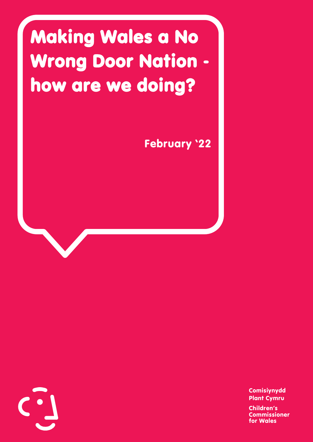## Making Wales a No Wrong Door Nation how are we doing?

February '22



Comisiynydd Plant Cymru Children's Commissioner for Wales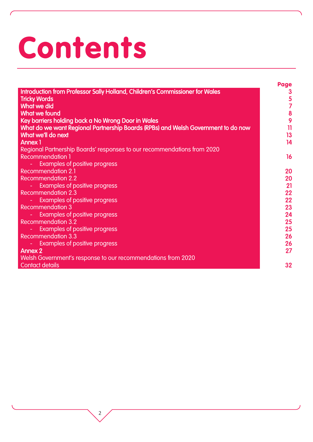# Contents

|                                                                                   | Page            |
|-----------------------------------------------------------------------------------|-----------------|
| Introduction from Professor Sally Holland, Children's Commissioner for Wales      | 3               |
| <b>Tricky Words</b>                                                               | $\frac{5}{7}$   |
| <b>What we did</b>                                                                |                 |
| <b>What we found</b>                                                              | 8               |
| Key barriers holding back a No Wrong Door in Wales                                | 9               |
| What do we want Regional Partnership Boards (RPBs) and Welsh Government to do now | $\overline{11}$ |
| What we'll do next                                                                | 13              |
| <b>Annex 1</b>                                                                    | 14              |
| Regional Partnership Boards' responses to our recommendations from 2020           |                 |
| <b>Recommendation 1</b>                                                           | 16              |
| <b>Examples of positive progress</b>                                              |                 |
| <b>Recommendation 2.1</b>                                                         | 20              |
| <b>Recommendation 2.2</b>                                                         | 20              |
| <b>Examples of positive progress</b>                                              | 21              |
| <b>Recommendation 2.3</b>                                                         | 22              |
| <b>Examples of positive progress</b>                                              | 22              |
| <b>Recommendation 3</b>                                                           | 23              |
| <b>Examples of positive progress</b>                                              | 24              |
| <b>Recommendation 3.2</b>                                                         | 25              |
| <b>Examples of positive progress</b>                                              | 25              |
| <b>Recommendation 3.3</b>                                                         | 26              |
| <b>Examples of positive progress</b>                                              | 26              |
| <b>Annex 2</b>                                                                    | 27              |
| Welsh Government's response to our recommendations from 2020                      |                 |
| <b>Contact details</b>                                                            | 32              |
|                                                                                   |                 |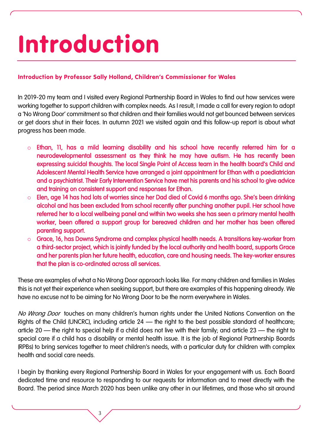## Introduction

#### Introduction by Professor Sally Holland, Children's Commissioner for Wales

In 2019-20 my team and I visited every Regional Partnership Board in Wales to find out how services were working together to support children with complex needs. As I result, I made a call for every region to adopt a 'No Wrong Door' commitment so that children and their families would not get bounced between services or get doors shut in their faces. In autumn 2021 we visited again and this follow-up report is about what progress has been made.

- Ethan, 11, has a mild learning disability and his school have recently referred him for a neurodevelopmental assessment as they think he may have autism. He has recently been expressing suicidal thoughts. The local Single Point of Access team in the health board's Child and Adolescent Mental Health Service have arranged a joint appointment for Ethan with a paediatrician and a psychiatrist. Their Early Intervention Service have met his parents and his school to give advice and training on consistent support and responses for Ethan.
- o Elen, age 14 has had lots of worries since her Dad died of Covid 6 months ago. She's been drinking alcohol and has been excluded from school recently after punching another pupil. Her school have referred her to a local wellbeing panel and within two weeks she has seen a primary mental health worker, been offered a support group for bereaved children and her mother has been offered parenting support.
- o Grace, 16, has Downs Syndrome and complex physical health needs. A transitions key-worker from a third-sector project, which is jointly funded by the local authority and health board, supports Grace and her parents plan her future health, education, care and housing needs. The key-worker ensures that the plan is co-ordinated across all services.

These are examples of what a No Wrong Door approach looks like. For many children and families in Wales this is not yet their experience when seeking support, but there are examples of this happening already. We have no excuse not to be aiming for No Wrong Door to be the norm everywhere in Wales.

No Wrong Door touches on many children's human rights under the United Nations Convention on the Rights of the Child (UNCRC), including article  $24$  — the right to the best possible standard of healthcare; article 20 – the right to special help if a child does not live with their family; and article 23 – the right to special care if a child has a disability or mental health issue. It is the job of Regional Partnership Boards (RPBs) to bring services together to meet children's needs, with a particular duty for children with complex health and social care needs.

I begin by thanking every Regional Partnership Board in Wales for your engagement with us. Each Board dedicated time and resource to responding to our requests for information and to meet directly with the Board. The period since March 2020 has been unlike any other in our lifetimes, and those who sit around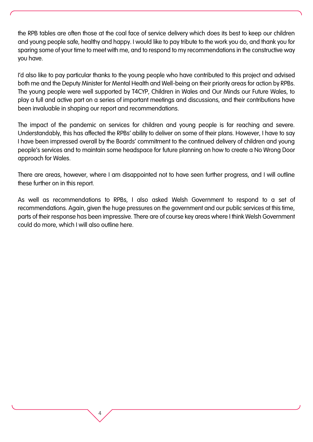the RPB tables are often those at the coal face of service delivery which does its best to keep our children and young people safe, healthy and happy. I would like to pay tribute to the work you do, and thank you for sparing some of your time to meet with me, and to respond to my recommendations in the constructive way you have.

I'd also like to pay particular thanks to the young people who have contributed to this project and advised both me and the Deputy Minister for Mental Health and Well-being on their priority areas for action by RPBs. The young people were well supported by T4CYP, Children in Wales and Our Minds our Future Wales, to play a full and active part on a series of important meetings and discussions, and their contributions have been invaluable in shaping our report and recommendations.

The impact of the pandemic on services for children and young people is far reaching and severe. Understandably, this has affected the RPBs' ability to deliver on some of their plans. However, I have to say I have been impressed overall by the Boards' commitment to the continued delivery of children and young people's services and to maintain some headspace for future planning on how to create a No Wrong Door approach for Wales.

There are areas, however, where I am disappointed not to have seen further progress, and I will outline these further on in this report.

As well as recommendations to RPBs, I also asked Welsh Government to respond to a set of recommendations. Again, given the huge pressures on the government and our public services at this time, parts of their response has been impressive. There are of course key areas where I think Welsh Government could do more, which I will also outline here.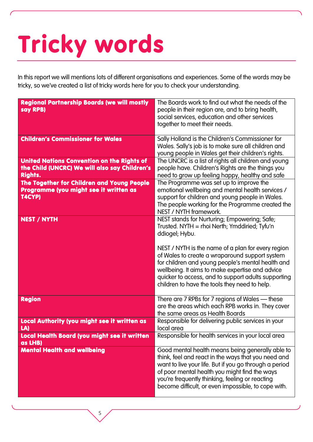## Tricky words

In this report we will mentions lots of different organisations and experiences. Some of the words may be tricky, so we've created a list of tricky words here for you to check your understanding.

| <b>Regional Partnership Boards (we will mostly</b><br>say RPB)                                                | The Boards work to find out what the needs of the<br>people in their region are, and to bring health,<br>social services, education and other services<br>together to meet their needs.                                                                                                                                                                                                                                                 |
|---------------------------------------------------------------------------------------------------------------|-----------------------------------------------------------------------------------------------------------------------------------------------------------------------------------------------------------------------------------------------------------------------------------------------------------------------------------------------------------------------------------------------------------------------------------------|
| <b>Children's Commissioner for Wales</b>                                                                      | Sally Holland is the Children's Commissioner for<br>Wales. Sally's job is to make sure all children and<br>young people in Wales get their children's rights.                                                                                                                                                                                                                                                                           |
| United Nations Convention on the Rights of<br>the Child (UNCRC) We will also say Children's<br><b>Rights.</b> | The UNCRC is a list of rights all children and young<br>people have. Children's Rights are the things you<br>need to grow up feeling happy, healthy and safe                                                                                                                                                                                                                                                                            |
| The Together for Children and Young People<br>Programme (you might see it written as<br>T4CYP)                | The Programme was set up to improve the<br>emotional wellbeing and mental health services /<br>support for children and young people in Wales.<br>The people working for the Programme created the<br>NEST / NYTH framework.                                                                                                                                                                                                            |
| <b>NEST / NYTH</b>                                                                                            | NEST stands for Nurturing; Empowering; Safe;<br>Trusted. NYTH = rhoi Nerth; Ymddiried; Tyfu'n<br>ddiogel; Hybu.<br>NEST / NYTH is the name of a plan for every region<br>of Wales to create a wraparound support system<br>for children and young people's mental health and<br>wellbeing. It aims to make expertise and advice<br>quicker to access, and to support adults supporting<br>children to have the tools they need to help. |
| <b>Region</b>                                                                                                 | There are 7 RPBs for 7 regions of Wales — these<br>are the areas which each RPB works in. They cover<br>the same areas as Health Boards                                                                                                                                                                                                                                                                                                 |
| <b>Local Authority (you might see it written as</b><br>LA)                                                    | Responsible for delivering public services in your<br>local area                                                                                                                                                                                                                                                                                                                                                                        |
| Local Health Board (you might see it written<br>as LHB)                                                       | Responsible for health services in your local area                                                                                                                                                                                                                                                                                                                                                                                      |
| <b>Mental Health and wellbeing</b>                                                                            | Good mental health means being generally able to<br>think, feel and react in the ways that you need and<br>want to live your life. But if you go through a period<br>of poor mental health you might find the ways<br>you're frequently thinking, feeling or reacting<br>become difficult, or even impossible, to cope with.                                                                                                            |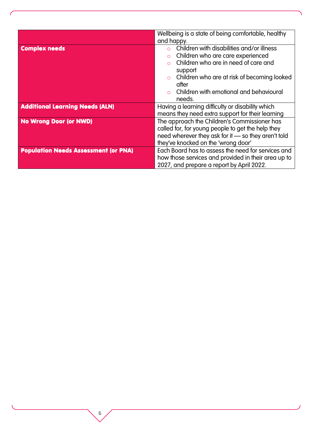|                                             | Wellbeing is a state of being comfortable, healthy  |  |
|---------------------------------------------|-----------------------------------------------------|--|
|                                             | and happy.                                          |  |
| <b>Complex needs</b>                        | Children with disabilities and/or illness           |  |
|                                             | Children who are care experienced<br>$\circ$        |  |
|                                             | Children who are in need of care and                |  |
|                                             | support                                             |  |
|                                             | Children who are at risk of becoming looked         |  |
|                                             | after                                               |  |
|                                             | Children with emotional and behavioural             |  |
|                                             | needs.                                              |  |
| <b>Additional Learning Needs (ALN)</b>      | Having a learning difficulty or disability which    |  |
|                                             | means they need extra support for their learning    |  |
| <b>No Wrong Door (or NWD)</b>               | The approach the Children's Commissioner has        |  |
|                                             | called for, for young people to get the help they   |  |
|                                             | need wherever they ask for it - so they aren't told |  |
|                                             | they've knocked on the 'wrong door'                 |  |
| <b>Population Needs Assessment (or PNA)</b> | Each Board has to assess the need for services and  |  |
|                                             | how those services and provided in their area up to |  |
|                                             | 2027, and prepare a report by April 2022.           |  |

6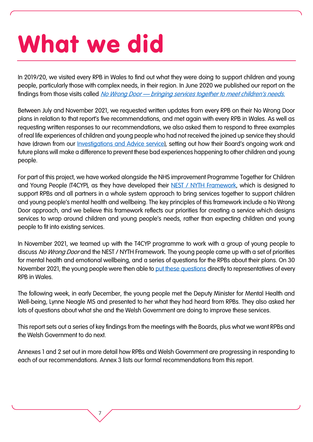## What we did

In 2019/20, we visited every RPB in Wales to find out what they were doing to support children and young people, particularly those with complex needs, in their region. In June 2020 we published our report on the findings from those visits called No Wrong Door — [bringing services together to meet children's needs](https://www.childcomwales.org.uk/publications/no-wrong-door-bringing-services-together-to-meet-childrens-needs/).

Between July and November 2021, we requested written updates from every RPB on their No Wrong Door plans in relation to that report's five recommendations, and met again with every RPB in Wales. As well as requesting written responses to our recommendations, we also asked them to respond to three examples of real life experiences of children and young people who had not received the joined up service they should have (drawn from our *Investigations and Advice service)*, setting out how their Board's ongoing work and future plans will make a difference to prevent these bad experiences happening to other children and young people.

For part of this project, we have worked alongside the NHS improvement Programme Together for Children and Young People (T4CYP), as they have developed their [NEST / NYTH Framework,](https://collaborative.nhs.wales/networks/wales-mental-health-network/together-for-children-and-young-people-2/the-nest-framework/) which is designed to support RPBs and all partners in a whole system approach to bring services together to support children and young people's mental health and wellbeing. The key principles of this framework include a No Wrong Door approach, and we believe this framework reflects our priorities for creating a service which designs services to wrap around children and young people's needs, rather than expecting children and young people to fit into existing services.

In November 2021, we teamed up with the T4CYP programme to work with a group of young people to discuss No Wrong Door and the NEST / NYTH Framework. The young people came up with a set of priorities for mental health and emotional wellbeing, and a series of questions for the RPBs about their plans. On 30 November 2021, the young people were then able to [put these questions](https://collaborative.nhs.wales/networks/wales-mental-health-network/together-for-children-and-young-people-2/the-nest-framework/nyth-nest-documents/joint-event-with-the-childrens-commissioner-and-rpbs/) directly to representatives of every RPB in Wales.

The following week, in early December, the young people met the Deputy Minister for Mental Health and Well-being, Lynne Neagle MS and presented to her what they had heard from RPBs. They also asked her lots of questions about what she and the Welsh Government are doing to improve these services.

This report sets out a series of key findings from the meetings with the Boards, plus what we want RPBs and the Welsh Government to do next.

Annexes 1 and 2 set out in more detail how RPBs and Welsh Government are progressing in responding to each of our recommendations. Annex 3 lists our formal recommendations from this report.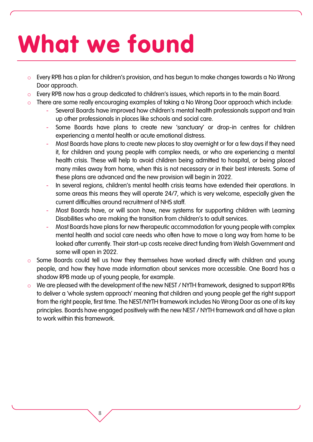## What we found

- o Every RPB has a plan for children's provision, and has begun to make changes towards a No Wrong Door approach.
- o Every RPB now has a group dedicated to children's issues, which reports in to the main Board.
- o There are some really encouraging examples of taking a No Wrong Door approach which include:
	- Several Boards have improved how children's mental health professionals support and train up other professionals in places like schools and social care.
	- Some Boards have plans to create new 'sanctuary' or drop-in centres for children experiencing a mental health or acute emotional distress.
	- Most Boards have plans to create new places to stay overnight or for a few days if they need it, for children and young people with complex needs, or who are experiencing a mental health crisis. These will help to avoid children being admitted to hospital, or being placed many miles away from home, when this is not necessary or in their best interests. Some of these plans are advanced and the new provision will begin in 2022.
	- In several regions, children's mental health crisis teams have extended their operations. In some areas this means they will operate 24/7, which is very welcome, especially given the current difficulties around recruitment of NHS staff.
	- Most Boards have, or will soon have, new systems for supporting children with Learning Disabilities who are making the transition from children's to adult services.
	- Most Boards have plans for new therapeutic accommodation for young people with complex mental health and social care needs who often have to move a long way from home to be looked after currently. Their start-up costs receive direct funding from Welsh Government and some will open in 2022.
- Some Boards could tell us how they themselves have worked directly with children and young people, and how they have made information about services more accessible. One Board has a shadow RPB made up of young people, for example.
- We are pleased with the development of the new NEST / NYTH framework, designed to support RPBs to deliver a 'whole system approach' meaning that children and young people get the right support from the right people, first time. The NEST/NYTH framework includes No Wrong Door as one of its key principles. Boards have engaged positively with the new NEST / NYTH framework and all have a plan to work within this framework.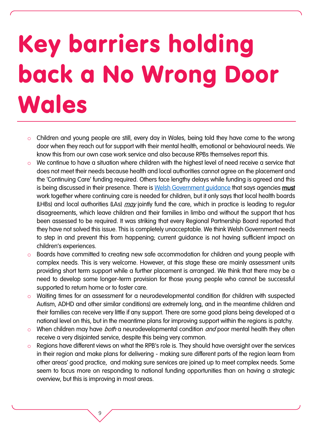## Key barriers holding back a No Wrong Door **Wales**

- o Children and young people are still, every day in Wales, being told they have come to the wrong door when they reach out for support with their mental health, emotional or behavioural needs. We know this from our own case work service and also because RPBs themselves report this.
- o We continue to have a situation where children with the highest level of need receive a service that does not meet their needs because health and local authorities cannot agree on the placement and the 'Continuing Care' funding required. Others face lengthy delays while funding is agreed and this is being discussed in their presence. There is [Welsh Government guidance](https://gov.wales/sites/default/files/publications/2020-03/the-children-and-young-peoples-continuing-care-guidance.pd) that says agencies must work together where continuing care is needed for children, but it only says that local health boards (LHBs) and local authorities (LAs) *may* jointly fund the care, which in practice is leading to regular disagreements, which leave children and their families in limbo and without the support that has been assessed to be required. It was striking that every Regional Partnership Board reported that they have not solved this issue. This is completely unacceptable. We think Welsh Government needs to step in and prevent this from happening; current guidance is not having sufficient impact on children's experiences.
- Boards have committed to creating new safe accommodation for children and young people with complex needs. This is very welcome. However, at this stage these are mainly assessment units providing short term support while a further placement is arranged. We think that there may be a need to develop some longer-term provision for those young people who cannot be successful supported to return home or to foster care.
- Waiting times for an assessment for a neurodevelopmental condition (for children with suspected Autism, ADHD and other similar conditions) are extremely long, and in the meantime children and their families can receive very little if any support. There are some good plans being developed at a national level on this, but in the meantime plans for improving support within the regions is patchy.
- $\circ$  When children may have *both* a neurodevelopmental condition *and* poor mental health they often receive a very disjointed service, despite this being very common.
- Regions have different views on what the RPB's role is. They should have oversight over the services in their region and make plans for delivering - making sure different parts of the region learn from other areas' good practice, and making sure services are joined up to meet complex needs. Some seem to focus more on responding to national funding opportunities than on having a strategic overview, but this is improving in most areas.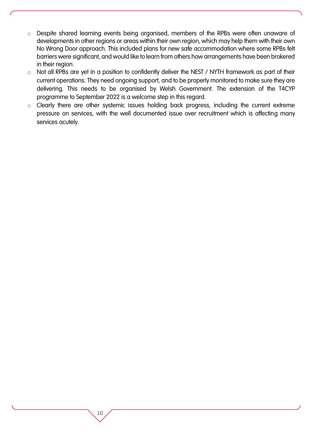- o Despite shared learning events being organised, members of the RPBs were often unaware of developments in other regions or areas within their own region, which may help them with their own No Wrong Door approach. This included plans for new safe accommodation where some RPBs felt barriers were significant, and would like to learn from others how arrangements have been brokered in their region.
- o Not all RPBs are yet in a position to confidently deliver the NEST / NYTH framework as part of their current operations. They need ongoing support, and to be properly monitored to make sure they are delivering. This needs to be organised by Welsh Government. The extension of the T4CYP programme to September 2022 is a welcome step in this regard.
- o Clearly there are other systemic issues holding back progress, including the current extreme pressure on services, with the well documented issue over recruitment which is affecting many services acutely.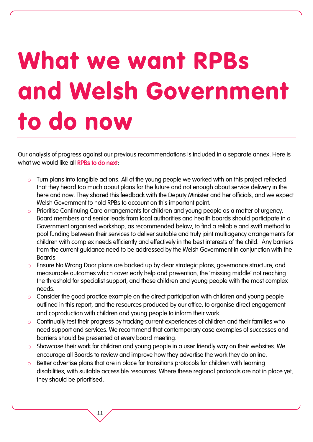## What we want RPBs and Welsh Government to do now

Our analysis of progress against our previous recommendations is included in a separate annex. Here is what we would like all **RPBs to do next**:

- $\circ$  Turn plans into tangible actions. All of the young people we worked with on this project reflected that they heard too much about plans for the future and not enough about service delivery in the here and now. They shared this feedback with the Deputy Minister and her officials, and we expect Welsh Government to hold RPBs to account on this important point.
- o Prioritise Continuing Care arrangements for children and young people as a matter of urgency. Board members and senior leads from local authorities and health boards should participate in a Government organised workshop, as recommended below, to find a reliable and swift method to pool funding between their services to deliver suitable and truly joint multiagency arrangements for children with complex needs efficiently and effectively in the best interests of the child. Any barriers from the current guidance need to be addressed by the Welsh Government in conjunction with the Boards.
- o Ensure No Wrong Door plans are backed up by clear strategic plans, governance structure, and measurable outcomes which cover early help and prevention, the 'missing middle' not reaching the threshold for specialist support, and those children and young people with the most complex needs.
- o Consider the good practice example on the direct participation with children and young people outlined in this report, and the resources produced by our office, to organise direct engagement and coproduction with children and young people to inform their work.
- o Continually test their progress by tracking current experiences of children and their families who need support and services. We recommend that contemporary case examples of successes and barriers should be presented at every board meeting.
- $\circ$  Showcase their work for children and young people in a user friendly way on their websites. We encourage all Boards to review and improve how they advertise the work they do online.
- o Better advertise plans that are in place for transitions protocols for children with learning disabilities, with suitable accessible resources. Where these regional protocols are not in place yet, they should be prioritised.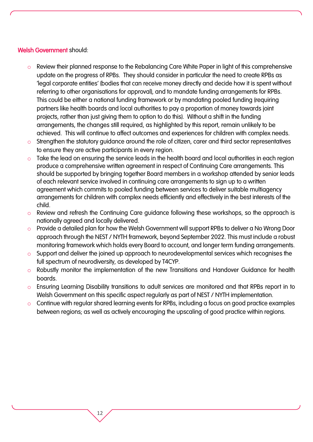#### Welsh Government should:

- o Review their planned response to the Rebalancing Care White Paper in light of this comprehensive update on the progress of RPBs. They should consider in particular the need to create RPBs as 'legal corporate entities' (bodies that can receive money directly and decide how it is spent without referring to other organisations for approval), and to mandate funding arrangements for RPBs. This could be either a national funding framework or by mandating pooled funding (requiring partners like health boards and local authorities to pay a proportion of money towards joint projects, rather than just giving them to option to do this). Without a shift in the funding arrangements, the changes still required, as highlighted by this report, remain unlikely to be achieved. This will continue to affect outcomes and experiences for children with complex needs.
- o Strengthen the statutory guidance around the role of citizen, carer and third sector representatives to ensure they are active participants in every region.
- o Take the lead on ensuring the service leads in the health board and local authorities in each region produce a comprehensive written agreement in respect of Continuing Care arrangements. This should be supported by bringing together Board members in a workshop attended by senior leads of each relevant service involved in continuing care arrangements to sign up to a written agreement which commits to pooled funding between services to deliver suitable multiagency arrangements for children with complex needs efficiently and effectively in the best interests of the child.
- o Review and refresh the Continuing Care guidance following these workshops, so the approach is nationally agreed and locally delivered.
- o Provide a detailed plan for how the Welsh Government will support RPBs to deliver a No Wrong Door approach through the NEST / NYTH framework, beyond September 2022. This must include a robust monitoring framework which holds every Board to account, and longer term funding arrangements.
- o Support and deliver the joined up approach to neurodevelopmental services which recognises the full spectrum of neurodiversity, as developed by T4CYP.
- o Robustly monitor the implementation of the new Transitions and Handover Guidance for health boards.
- o Ensuring Learning Disability transitions to adult services are monitored and that RPBs report in to Welsh Government on this specific aspect regularly as part of NEST / NYTH implementation.
- o Continue with regular shared learning events for RPBs, including a focus on good practice examples between regions; as well as actively encouraging the upscaling of good practice within regions.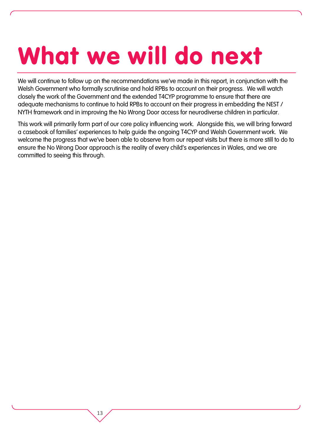## What we will do next

We will continue to follow up on the recommendations we've made in this report, in conjunction with the Welsh Government who formally scrutinise and hold RPBs to account on their progress. We will watch closely the work of the Government and the extended T4CYP programme to ensure that there are adequate mechanisms to continue to hold RPBs to account on their progress in embedding the NEST / NYTH framework and in improving the No Wrong Door access for neurodiverse children in particular.

This work will primarily form part of our core policy influencing work. Alongside this, we will bring forward a casebook of families' experiences to help guide the ongoing T4CYP and Welsh Government work. We welcome the progress that we've been able to observe from our repeat visits but there is more still to do to ensure the No Wrong Door approach is the reality of every child's experiences in Wales, and we are committed to seeing this through.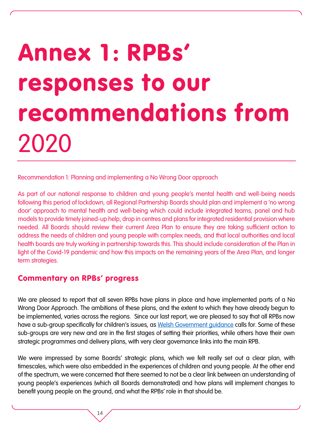## Annex 1: RPBs' responses to our recommendations from 2020

Recommendation 1: Planning and implementing a No Wrong Door approach

As part of our national response to children and young people's mental health and well-being needs following this period of lockdown, all Regional Partnership Boards should plan and implement a 'no wrong door' approach to mental health and well-being which could include integrated teams, panel and hub models to provide timely joined-up help, drop in centres and plans for integrated residential provision where needed. All Boards should review their current Area Plan to ensure they are taking sufficient action to address the needs of children and young people with complex needs, and that local authorities and local health boards are truly working in partnership towards this. This should include consideration of the Plan in light of the Covid-19 pandemic and how this impacts on the remaining years of the Area Plan, and longer term strategies.

### Commentary on RPBs' progress

We are pleased to report that all seven RPBs have plans in place and have implemented parts of a No Wrong Door Approach. The ambitions of these plans, and the extent to which they have already begun to be implemented, varies across the regions. Since our last report, we are pleased to say that all RPBs now have a sub-group specifically for children's issues, as Welsh Government quidance calls for. Some of these sub-groups are very new and are in the first stages of setting their priorities, while others have their own strategic programmes and delivery plans, with very clear governance links into the main RPB.

We were impressed by some Boards' strategic plans, which we felt really set out a clear plan, with timescales, which were also embedded in the experiences of children and young people. At the other end of the spectrum, we were concerned that there seemed to not be a clear link between an understanding of young people's experiences (which all Boards demonstrated) and how plans will implement changes to benefit young people on the ground, and what the RPBs' role in that should be.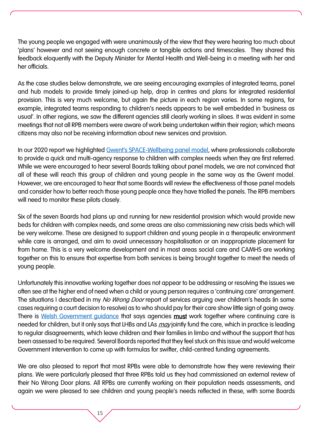The young people we engaged with were unanimously of the view that they were hearing too much about 'plans' however and not seeing enough concrete or tangible actions and timescales. They shared this feedback eloquently with the Deputy Minister for Mental Health and Well-being in a meeting with her and her officials.

As the case studies below demonstrate, we are seeing encouraging examples of integrated teams, panel and hub models to provide timely joined-up help, drop in centres and plans for integrated residential provision. This is very much welcome, but again the picture in each region varies. In some regions, for example, integrated teams responding to children's needs appears to be well embedded in 'business as usual'. In other regions, we saw the different agencies still clearly working in siloes. It was evident in some meetings that not all RPB members were aware of work being undertaken within their region; which means citizens may also not be receiving information about new services and provision.

In our 2020 report we highlighted Gwent's SPACE[-Wellbeing panel model,](https://abbhealthiertogether.cymru.nhs.uk/health-for-young-people/need-help-now/urgent-adviceself-referral-camhs) where professionals collaborate to provide a quick and multi-agency response to children with complex needs when they are first referred. While we were encouraged to hear several Boards talking about panel models, we are not convinced that all of these will reach this group of children and young people in the same way as the Gwent model. However, we are encouraged to hear that some Boards will review the effectiveness of those panel models and consider how to better reach those young people once they have trialled the panels. The RPB members will need to monitor these pilots closely.

Six of the seven Boards had plans up and running for new residential provision which would provide new beds for children with complex needs, and some areas are also commissioning new crisis beds which will be very welcome. These are designed to support children and young people in a therapeutic environment while care is arranged, and aim to avoid unnecessary hospitalisation or an inappropriate placement far from home. This is a very welcome development and in most areas social care and CAMHS are working together on this to ensure that expertise from both services is being brought together to meet the needs of young people.

Unfortunately this innovative working together does not appear to be addressing or resolving the issues we often see at the higher end of need when a child or young person requires a 'continuing care' arrangement. The situations I described in my No Wrong Door report of services arguing over children's heads (in some cases requiring a court decision to resolve) as to who should pay for their care show little sign of going away. There is Welsh Government quidance that says agencies must work together where continuing care is needed for children, but it only says that LHBs and LAs *may* jointly fund the care, which in practice is leading to regular disagreements, which leave children and their families in limbo and without the support that has been assessed to be required. Several Boards reported that they feel stuck on this issue and would welcome Government intervention to come up with formulas for swifter, child-centred funding agreements.

We are also pleased to report that most RPBs were able to demonstrate how they were reviewing their plans. We were particularly pleased that three RPBs told us they had commissioned an external review of their No Wrong Door plans. All RPBs are currently working on their population needs assessments, and again we were pleased to see children and young people's needs reflected in these, with some Boards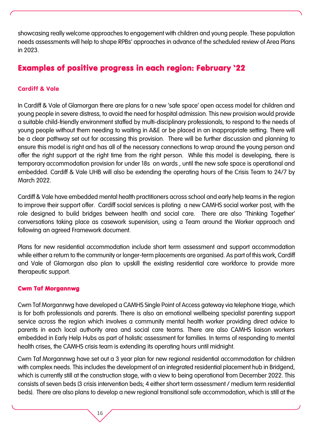showcasing really welcome approaches to engagement with children and young people. These population needs assessments will help to shape RPBs' approaches in advance of the scheduled review of Area Plans in 2023.

## Examples of positive progress in each region: February '22

#### [Cardiff & Vale](https://cvihsc.co.uk/)

In Cardiff & Vale of Glamorgan there are plans for a new 'safe space' open access model for children and young people in severe distress, to avoid the need for hospital admission. This new provision would provide a suitable child-friendly environment staffed by multi-disciplinary professionals, to respond to the needs of young people without them needing to waiting in A&E or be placed in an inappropriate setting. There will be a clear pathway set out for accessing this provision. There will be further discussion and planning to ensure this model is right and has all of the necessary connections to wrap around the young person and offer the right support at the right time from the right person. While this model is developing, there is temporary accommodation provision for under 18s on wards , until the new safe space is operational and embedded. Cardiff & Vale UHB will also be extending the operating hours of the Crisis Team to 24/7 by March 2022.

Cardiff & Vale have embedded mental health practitioners across school and early help teams in the region to improve their support offer. Cardiff social services is piloting a new CAMHS social worker post, with the role designed to build bridges between health and social care. There are also 'Thinking Together' conversations taking place as casework supervision, using a Team around the Worker approach and following an agreed Framework document.

Plans for new residential accommodation include short term assessment and support accommodation while either a return to the community or longer-term placements are organised. As part of this work, Cardiff and Vale of Glamorgan also plan to upskill the existing residential care workforce to provide more therapeutic support.

#### [Cwm Taf Morgannwg](https://www.ctmregionalpartnershipboard.co.uk/)

Cwm Taf Morgannwg have developed a CAMHS Single Point of Access gateway via telephone triage, which is for both professionals and parents. There is also an emotional wellbeing specialist parenting support service across the region which involves a community mental health worker providing direct advice to parents in each local authority area and social care teams. There are also CAMHS liaison workers embedded in Early Help Hubs as part of holistic assessment for families. In terms of responding to mental health crises, the CAMHS crisis team is extending its operating hours until midnight.

Cwm Taf Morgannwg have set out a 3 year plan for new regional residential accommodation for children with complex needs. This includes the development of an integrated residential placement hub in Bridgend, which is currently still at the construction stage, with a view to being operational from December 2022. This consists of seven beds (3 crisis intervention beds; 4 either short term assessment / medium term residential beds). There are also plans to develop a new regional transitional safe accommodation, which is still at the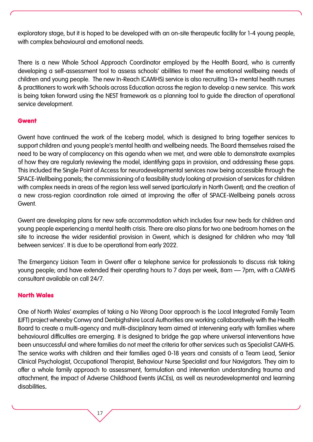exploratory stage, but it is hoped to be developed with an on-site therapeutic facility for 1-4 young people, with complex behavioural and emotional needs.

There is a new Whole School Approach Coordinator employed by the Health Board, who is currently developing a self-assessment tool to assess schools' abilities to meet the emotional wellbeing needs of children and young people. The new In-Reach (CAMHS) service is also recruiting 13+ mental health nurses & practitioners to work with Schools across Education across the region to develop a new service. This work is being taken forward using the NEST framework as a planning tool to guide the direction of operational service development.

#### [Gwent](http://www.gwentrpb.wales/home)

Gwent have continued the work of the Iceberg model, which is designed to bring together services to support children and young people's mental health and wellbeing needs. The Board themselves raised the need to be wary of complacency on this agenda when we met, and were able to demonstrate examples of how they are regularly reviewing the model, identifying gaps in provision, and addressing these gaps. This included the Single Point of Access for neurodevelopmental services now being accessible through the SPACE-Wellbeing panels; the commissioning of a feasibility study looking at provision of services for children with complex needs in areas of the region less well served (particularly in North Gwent); and the creation of a new cross-region coordination role aimed at improving the offer of SPACE-Wellbeing panels across Gwent.

Gwent are developing plans for new safe accommodation which includes four new beds for children and young people experiencing a mental health crisis. There are also plans for two one bedroom homes on the site to increase the wider residential provision in Gwent, which is designed for children who may 'fall between services'. It is due to be operational from early 2022.

The Emergency Liaison Team in Gwent offer a telephone service for professionals to discuss risk taking young people; and have extended their operating hours to 7 days per week, 8am – 7pm, with a CAMHS consultant available on call 24/7.

#### [North Wales](https://www.northwalescollaborative.wales/regional-partnership-board/)

One of North Wales' examples of taking a No Wrong Door approach is the Local Integrated Family Team (LIFT) project whereby Conwy and Denbighshire Local Authorities are working collaboratively with the Health Board to create a multi-agency and multi-disciplinary team aimed at intervening early with families where behavioural difficulties are emerging. It is designed to bridge the gap where universal interventions have been unsuccessful and where families do not meet the criteria for other services such as Specialist CAMHS. The service works with children and their families aged 0-18 years and consists of a Team Lead, Senior Clinical Psychologist, Occupational Therapist, Behaviour Nurse Specialist and four Navigators. They aim to offer a whole family approach to assessment, formulation and intervention understanding trauma and attachment, the impact of Adverse Childhood Events (ACEs), as well as neurodevelopmental and learning disabilities.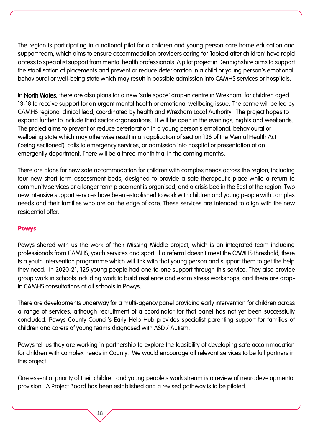The region is participating in a national pilot for a children and young person care home education and support team, which aims to ensure accommodation providers caring for 'looked after children' have rapid access to specialist support from mental health professionals. A pilot project in Denbighshire aims to support the stabilisation of placements and prevent or reduce deterioration in a child or young person's emotional, behavioural or well-being state which may result in possible admission into CAMHS services or hospitals.

In North Wales, there are also plans for a new 'safe space' drop-in centre in Wrexham, for children aged 13-18 to receive support for an urgent mental health or emotional wellbeing issue. The centre will be led by CAMHS regional clinical lead, coordinated by health and Wrexham Local Authority. The project hopes to expand further to include third sector organisations. It will be open in the evenings, nights and weekends. The project aims to prevent or reduce deterioration in a young person's emotional, behavioural or wellbeing state which may otherwise result in an application of section 136 of the Mental Health Act ('being sectioned'), calls to emergency services, or admission into hospital or presentation at an emergently department. There will be a three-month trial in the coming months.

There are plans for new safe accommodation for children with complex needs across the region, including four new short term assessment beds, designed to provide a safe therapeutic place while a return to community services or a longer term placement is organised, and a crisis bed in the East of the region. Two new intensive support services have been established to work with children and young people with complex needs and their families who are on the edge of care. These services are intended to align with the new residential offer.

#### [Powys](https://www.powysrpb.org/)

Powys shared with us the work of their Missing Middle project, which is an integrated team including professionals from CAMHS, youth services and sport. If a referral doesn't meet the CAMHS threshold, there is a youth intervention programme which will link with that young person and support them to get the help they need. In 2020-21, 125 young people had one-to-one support through this service. They also provide group work in schools including work to build resilience and exam stress workshops, and there are dropin CAMHS consultations at all schools in Powys.

There are developments underway for a multi-agency panel providing early intervention for children across a range of services, although recruitment of a coordinator for that panel has not yet been successfully concluded. Powys County Council's Early Help Hub provides specialist parenting support for families of children and carers of young teams diagnosed with ASD / Autism.

Powys tell us they are working in partnership to explore the feasibility of developing safe accommodation for children with complex needs in County. We would encourage all relevant services to be full partners in this project.

One essential priority of their children and young people's work stream is a review of neurodevelopmental provision. A Project Board has been established and a revised pathway is to be piloted.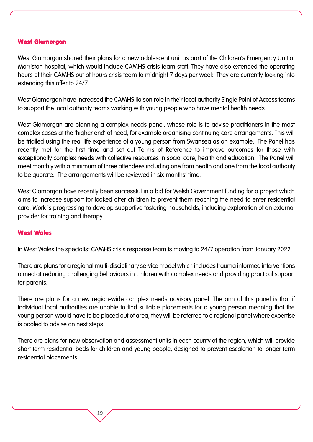#### [West Glamorgan](https://sbuhb.nhs.wales/about-us/partnerships/the-west-glamorgan-regional-partnership/)

West Glamorgan shared their plans for a new adolescent unit as part of the Children's Emergency Unit at Morriston hospital, which would include CAMHS crisis team staff. They have also extended the operating hours of their CAMHS out of hours crisis team to midnight 7 days per week. They are currently looking into extending this offer to 24/7.

West Glamorgan have increased the CAMHS liaison role in their local authority Single Point of Access teams to support the local authority teams working with young people who have mental health needs.

West Glamorgan are planning a complex needs panel, whose role is to advise practitioners in the most complex cases at the 'higher end' of need, for example organising continuing care arrangements. This will be trialled using the real life experience of a young person from Swansea as an example. The Panel has recently met for the first time and set out Terms of Reference to improve outcomes for those with exceptionally complex needs with collective resources in social care, health and education. The Panel will meet monthly with a minimum of three attendees including one from health and one from the local authority to be quorate. The arrangements will be reviewed in six months' time.

West Glamorgan have recently been successful in a bid for Welsh Government funding for a project which aims to increase support for looked after children to prevent them reaching the need to enter residential care. Work is progressing to develop supportive fostering households, including exploration of an external provider for training and therapy.

#### [West Wales](https://www.wwcp.org.uk/)

In West Wales the specialist CAMHS crisis response team is moving to 24/7 operation from January 2022.

There are plans for a regional multi-disciplinary service model which includes trauma informed interventions aimed at reducing challenging behaviours in children with complex needs and providing practical support for parents.

There are plans for a new region-wide complex needs advisory panel. The aim of this panel is that if individual local authorities are unable to find suitable placements for a young person meaning that the young person would have to be placed out of area, they will be referred to a regional panel where expertise is pooled to advise on next steps.

There are plans for new observation and assessment units in each county of the region, which will provide short term residential beds for children and young people, designed to prevent escalation to longer term residential placements.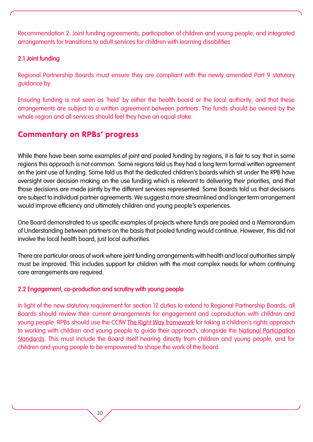Recommendation 2: Joint funding agreements, participation of children and young people, and integrated arrangements for transitions to adult services for children with learning disabilities

#### 2.1 Joint funding

Regional Partnership Boards must ensure they are compliant with the newly amended Part 9 statutory guidance by:

Ensuring funding is not seen as 'held' by either the health board or the local authority, and that these arrangements are subject to a written agreement between partners. The funds should be owned by the whole region and all services should feel they have an equal stake.

### Commentary on RPBs' progress

While there have been some examples of joint and pooled funding by regions, it is fair to say that in some regions this approach is not common. Some regions told us they had a long term formal written agreement on the joint use of funding. Some told us that the dedicated children's boards which sit under the RPB have oversight over decision making on the use funding which is relevant to delivering their priorities, and that those decisions are made jointly by the different services represented. Some Boards told us that decisions are subject to individual partner agreements. We suggest a more streamlined and longer term arrangement would improve efficiency and ultimately children and young people's experiences.

One Board demonstrated to us specific examples of projects where funds are pooled and a Memorandum of Understanding between partners on the basis that pooled funding would continue. However, this did not involve the local health board, just local authorities.

There are particular areas of work where joint funding arrangements with health and local authorities simply must be improved. This includes support for children with the most complex needs for whom continuing care arrangements are required.

#### 2.2 Engagement, co-production and scrutiny with young people

In light of the new statutory requirement for section 12 duties to extend to Regional Partnership Boards, all Boards should review their current arrangements for engagement and coproduction with children and young people. RPBs should use the CCfW [The Right Way framework](https://www.childcomwales.org.uk/resources/childrens-rights-approach/right-way-childrens-rights-approach-wales/) for taking a children's rights approach to working with children and young people to guide their approach, alongside the [National Participation](https://gov.wales/children-and-young-peoples-national-participation-standards)  [Standards.](https://gov.wales/children-and-young-peoples-national-participation-standards) This must include the Board itself hearing directly from children and young people, and for children and young people to be empowered to shape the work of the Board.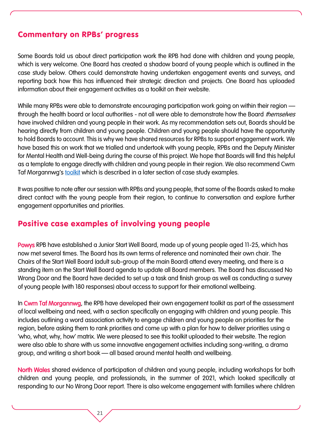### Commentary on RPBs' progress

Some Boards told us about direct participation work the RPB had done with children and young people, which is very welcome. One Board has created a shadow board of young people which is outlined in the case study below. Others could demonstrate having undertaken engagement events and surveys, and reporting back how this has influenced their strategic direction and projects. One Board has uploaded information about their engagement activities as a toolkit on their website.

While many RPBs were able to demonstrate encouraging participation work going on within their region through the health board or local authorities - not all were able to demonstrate how the Board *themselves* have involved children and young people in their work. As my recommendation sets out, Boards should be hearing directly from children and young people. Children and young people should have the opportunity to hold Boards to account. This is why we have shared resources for RPBs to support engagement work. We have based this on work that we trialled and undertook with young people, RPBs and the Deputy Minister for Mental Health and Well-being during the course of this project. We hope that Boards will find this helpful as a template to engage directly with children and young people in their region. We also recommend Cwm Taf Morgannwa's [toolkit](https://www.ctmregionalpartnershipboard.co.uk/wp-content/uploads/2021/08/Citizen-Priorities-Engagement-Toolkit-FINAL-002.pdf) which is described in a later section of case study examples.

It was positive to note after our session with RPBs and young people, that some of the Boards asked to make direct contact with the young people from their region, to continue to conversation and explore further engagement opportunities and priorities.

#### Positive case examples of involving young people

Powys RPB have established a Junior Start Well Board, made up of young people aged 11-25, which has now met several times. The Board has its own terms of reference and nominated their own chair. The Chairs of the Start Well Board (adult sub-group of the main Board) attend every meeting, and there is a standing item on the Start Well Board agenda to update all Board members. The Board has discussed No Wrong Door and the Board have decided to set up a task and finish group as well as conducting a survey of young people (with 180 responses) about access to support for their emotional wellbeing.

In Cwm Taf Morgannwa, the RPB have developed their own engagement toolkit as part of the assessment of local wellbeing and need, with a section specifically on engaging with children and young people. This includes outlining a word association activity to engage children and young people on priorities for the region, before asking them to rank priorities and come up with a plan for how to deliver priorities using a 'who, what, why, how' matrix. We were pleased to see this toolkit uploaded to their website. The region were also able to share with us some innovative engagement activities including song-writing, a drama group, and writing a short book — all based around mental health and wellbeing.

North Wales shared evidence of participation of children and young people, including workshops for both children and young people, and professionals, in the summer of 2021, which looked specifically at responding to our No Wrong Door report. There is also welcome engagement with families where children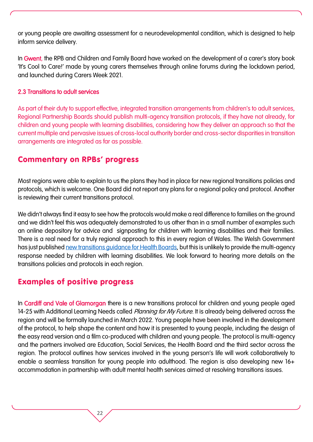or young people are awaiting assessment for a neurodevelopmental condition, which is designed to help inform service delivery.

In Gwent, the RPB and Children and Family Board have worked on the development of a carer's story book 'It's Cool to Care!' made by young carers themselves through online forums during the lockdown period, and launched during Carers Week 2021.

#### 2.3 Transitions to adult services

As part of their duty to support effective, integrated transition arrangements from children's to adult services, Regional Partnership Boards should publish multi-agency transition protocols, if they have not already, for children and young people with learning disabilities, considering how they deliver an approach so that the current multiple and pervasive issues of cross-local authority border and cross-sector disparities in transition arrangements are integrated as far as possible.

### Commentary on RPBs' progress

Most regions were able to explain to us the plans they had in place for new regional transitions policies and protocols, which is welcome. One Board did not report any plans for a regional policy and protocol. Another is reviewing their current transitions protocol.

We didn't always find it easy to see how the protocols would make a real difference to families on the ground and we didn't feel this was adequately demonstrated to us other than in a small number of examples such an online depository for advice and signposting for children with learning disabilities and their families. There is a real need for a truly regional approach to this in every region of Wales. The Welsh Government has just published [new transitions guidance for Health Boards,](https://gov.wales/transition-and-handover-childrens-adult-health-services) but this is unlikely to provide the multi-agency response needed by children with learning disabilities. We look forward to hearing more details on the transitions policies and protocols in each region.

## Examples of positive progress

In Cardiff and Vale of Glamorgan there is a new transitions protocol for children and young people aged 14-25 with Additional Learning Needs called Planning for My Future. It is already being delivered across the region and will be formally launched in March 2022. Young people have been involved in the development of the protocol, to help shape the content and how it is presented to young people, including the design of the easy read version and a film co-produced with children and young people. The protocol is multi-agency and the partners involved are Education, Social Services, the Health Board and the third sector across the region. The protocol outlines how services involved in the young person's life will work collaboratively to enable a seamless transition for young people into adulthood. The region is also developing new 16+ accommodation in partnership with adult mental health services aimed at resolving transitions issues.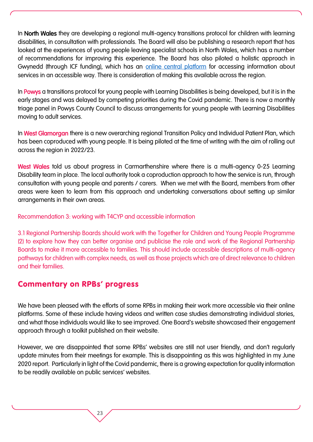In North Wales they are developing a regional multi-agency transitions protocol for children with learning disabilities, in consultation with professionals. The Board will also be publishing a research report that has looked at the experiences of young people leaving specialist schools in North Wales, which has a number of recommendations for improving this experience. The Board has also piloted a holistic approach in Gwynedd (through ICF funding), which has an [online central platform](https://www.llwybraullesiant.cymru/en) for accessing information about services in an accessible way. There is consideration of making this available across the region.

In Powys a transitions protocol for young people with Learning Disabilities is being developed, but it is in the early stages and was delayed by competing priorities during the Covid pandemic. There is now a monthly triage panel in Powys County Council to discuss arrangements for young people with Learning Disabilities moving to adult services.

In West Glamorgan there is a new overarching regional Transition Policy and Individual Patient Plan, which has been coproduced with young people. It is being piloted at the time of writing with the aim of rolling out across the region in 2022/23.

West Wales told us about progress in Carmarthenshire where there is a multi-agency 0-25 Learning Disability team in place. The local authority took a coproduction approach to how the service is run, through consultation with young people and parents / carers. When we met with the Board, members from other areas were keen to learn from this approach and undertaking conversations about setting up similar arrangements in their own areas.

#### Recommendation 3: working with T4CYP and accessible information

3.1 Regional Partnership Boards should work with the Together for Children and Young People Programme (2) to explore how they can better organise and publicise the role and work of the Regional Partnership Boards to make it more accessible to families. This should include accessible descriptions of multi-agency pathways for children with complex needs, as well as those projects which are of direct relevance to children and their families.

### Commentary on RPBs' progress

We have been pleased with the efforts of some RPBs in making their work more accessible via their online platforms. Some of these include having videos and written case studies demonstrating individual stories, and what those individuals would like to see improved. One Board's website showcased their engagement approach through a toolkit published on their website.

However, we are disappointed that some RPBs' websites are still not user friendly, and don't regularly update minutes from their meetings for example. This is disappointing as this was highlighted in my June 2020 report. Particularly in light of the Covid pandemic, there is a growing expectation for quality information to be readily available on public services' websites.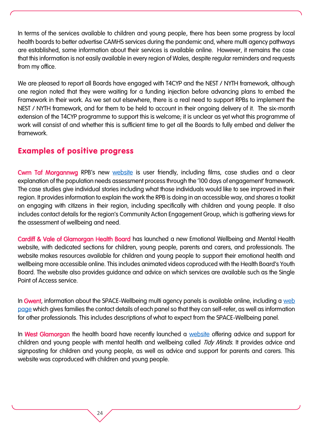In terms of the services available to children and young people, there has been some progress by local health boards to better advertise CAMHS services during the pandemic and, where multi agency pathways are established, some information about their services is available online. However, it remains the case that this information is not easily available in every region of Wales, despite regular reminders and requests from my office.

We are pleased to report all Boards have engaged with T4CYP and the NEST / NYTH framework, although one region noted that they were waiting for a funding injection before advancing plans to embed the Framework in their work. As we set out elsewhere, there is a real need to support RPBs to implement the NEST / NYTH framework, and for them to be held to account in their ongoing delivery of it. The six-month extension of the T4CYP programme to support this is welcome; it is unclear as yet what this programme of work will consist of and whether this is sufficient time to get all the Boards to fully embed and deliver the framework.

## Examples of positive progress

Cwm Taf Morgannwg RPB's new [website](https://www.ctmregionalpartnershipboard.co.uk/) is user friendly, including films, case studies and a clear explanation of the population needs assessment process through the '100 days of engagement' framework. The case studies give individual stories including what those individuals would like to see improved in their region. It provides information to explain the work the RPB is doing in an accessible way, and shares a toolkit on engaging with citizens in their region, including specifically with children and young people. It also includes contact details for the region's Community Action Engagement Group, which is gathering views for the assessment of wellbeing and need.

Cardiff & Vale of Glamorgan Health Board has launched a new Emotional Wellbeing and Mental Health website, with dedicated sections for children, young people, parents and carers, and professionals. The website makes resources available for children and young people to support their emotional health and wellbeing more accessible online. This includes animated videos coproduced with the Health Board's Youth Board. The website also provides guidance and advice on which services are available such as the Single Point of Access service.

In Gwent, information about the SPACE-Wellbeing multi agency panels is available online, including a web [page](https://abbhealthiertogether.cymru.nhs.uk/health-for-young-people/need-help-now/urgent-adviceself-referral-camhs) which gives families the contact details of each panel so that they can self-refer, as well as information for other professionals. This includes descriptions of what to expect from the SPACE-Wellbeing panel.

In West Glamorgan the health board have recently launched a [website](https://tidyminds.org.uk/) offering advice and support for children and young people with mental health and wellbeing called *Tidy Minds*. It provides advice and signposting for children and young people, as well as advice and support for parents and carers. This website was coproduced with children and young people.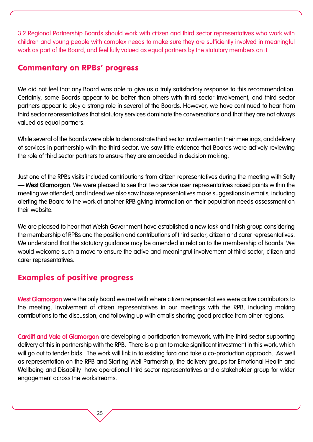3.2 Regional Partnership Boards should work with citizen and third sector representatives who work with children and young people with complex needs to make sure they are sufficiently involved in meaningful work as part of the Board, and feel fully valued as equal partners by the statutory members on it.

#### Commentary on RPBs' progress

We did not feel that any Board was able to give us a truly satisfactory response to this recommendation. Certainly, some Boards appear to be better than others with third sector involvement, and third sector partners appear to play a strong role in several of the Boards. However, we have continued to hear from third sector representatives that statutory services dominate the conversations and that they are not always valued as equal partners.

While several of the Boards were able to demonstrate third sector involvement in their meetings, and delivery of services in partnership with the third sector, we saw little evidence that Boards were actively reviewing the role of third sector partners to ensure they are embedded in decision making.

Just one of the RPBs visits included contributions from citizen representatives during the meeting with Sally – West Glamorgan. We were pleased to see that two service user representatives raised points within the meeting we attended, and indeed we also saw those representatives make suggestions in emails, including alerting the Board to the work of another RPB giving information on their population needs assessment on their website.

We are pleased to hear that Welsh Government have established a new task and finish group considering the membership of RPBs and the position and contributions of third sector, citizen and carer representatives. We understand that the statutory guidance may be amended in relation to the membership of Boards. We would welcome such a move to ensure the active and meaningful involvement of third sector, citizen and carer representatives.

## Examples of positive progress

West Glamorgan were the only Board we met with where citizen representatives were active contributors to the meeting. Involvement of citizen representatives in our meetings with the RPB, including making contributions to the discussion, and following up with emails sharing good practice from other regions.

Cardiff and Vale of Glamorgan are developing a participation framework, with the third sector supporting delivery of this in partnership with the RPB. There is a plan to make significant investment in this work, which will go out to tender bids. The work will link in to existing fora and take a co-production approach. As well as representation on the RPB and Starting Well Partnership, the delivery groups for Emotional Health and Wellbeing and Disability have operational third sector representatives and a stakeholder group for wider engagement across the workstreams.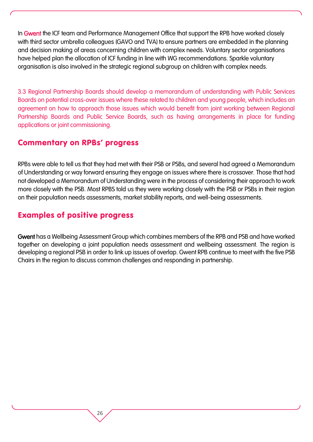In Gwent the ICF team and Performance Management Office that support the RPB have worked closely with third sector umbrella colleagues (GAVO and TVA) to ensure partners are embedded in the planning and decision making of areas concerning children with complex needs. Voluntary sector organisations have helped plan the allocation of ICF funding in line with WG recommendations. Sparkle voluntary organisation is also involved in the strategic regional subgroup on children with complex needs.

3.3 Regional Partnership Boards should develop a memorandum of understanding with Public Services Boards on potential cross-over issues where these related to children and young people, which includes an agreement on how to approach those issues which would benefit from joint working between Regional Partnership Boards and Public Service Boards, such as having arrangements in place for funding applications or joint commissioning.

### Commentary on RPBs' progress

RPBs were able to tell us that they had met with their PSB or PSBs, and several had agreed a Memorandum of Understanding or way forward ensuring they engage on issues where there is crossover. Those that had not developed a Memorandum of Understanding were in the process of considering their approach to work more closely with the PSB. Most RPBS told us they were working closely with the PSB or PSBs in their region on their population needs assessments, market stability reports, and well-being assessments.

## Examples of positive progress

Gwent has a Wellbeing Assessment Group which combines members of the RPB and PSB and have worked together on developing a joint population needs assessment and wellbeing assessment. The region is developing a regional PSB in order to link up issues of overlap. Gwent RPB continue to meet with the five PSB Chairs in the region to discuss common challenges and responding in partnership.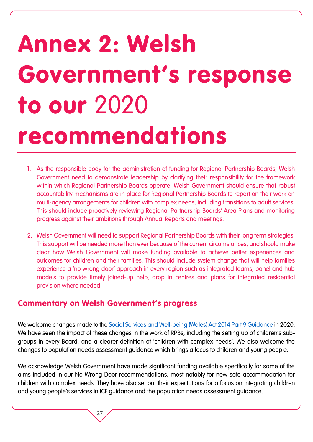## Annex 2: Welsh Government's response to our 2020 recommendations

- 1. As the responsible body for the administration of funding for Regional Partnership Boards, Welsh Government need to demonstrate leadership by clarifying their responsibility for the framework within which Regional Partnership Boards operate. Welsh Government should ensure that robust accountability mechanisms are in place for Regional Partnership Boards to report on their work on multi-agency arrangements for children with complex needs, including transitions to adult services. This should include proactively reviewing Regional Partnership Boards' Area Plans and monitoring progress against their ambitions through Annual Reports and meetings.
- 2. Welsh Government will need to support Regional Partnership Boards with their long term strategies. This support will be needed more than ever because of the current circumstances, and should make clear how Welsh Government will make funding available to achieve better experiences and outcomes for children and their families. This should include system change that will help families experience a 'no wrong door' approach in every region such as integrated teams, panel and hub models to provide timely joined-up help, drop in centres and plans for integrated residential provision where needed.

### Commentary on Welsh Government's progress

27

We welcome changes made to the [Social Services and Well-being \(Wales\) Act 2014 Part 9 Guidance](https://socialcare.wales/hub/statutory-guidance) in 2020. We have seen the impact of these changes in the work of RPBs, including the setting up of children's subgroups in every Board, and a clearer definition of 'children with complex needs'. We also welcome the changes to population needs assessment guidance which brings a focus to children and young people.

We acknowledge Welsh Government have made significant funding available specifically for some of the aims included in our No Wrong Door recommendations, most notably for new safe accommodation for children with complex needs. They have also set out their expectations for a focus on integrating children and young people's services in ICF guidance and the population needs assessment guidance.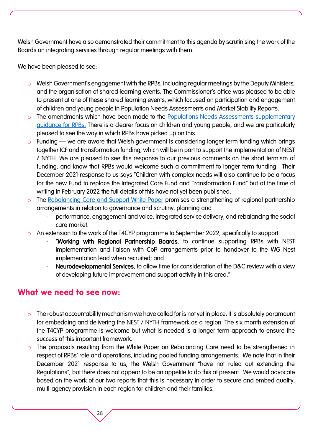Welsh Government have also demonstrated their commitment to this agenda by scrutinising the work of the Boards on integrating services through regular meetings with them.

We have been pleased to see:

- o Welsh Government's engagement with the RPBs, including regular meetings by the Deputy Ministers, and the organisation of shared learning events. The Commissioner's office was pleased to be able to present at one of these shared learning events, which focused on participation and engagement of children and young people in Population Needs Assessments and Market Stability Reports.
- o The amendments which have been made to the Populations Needs Assessments supplementary [guidance for RPBs.](https://gov.wales/sites/default/files/publications/2021-03/population-needs-assessments.pdf) There is a clearer focus on children and young people, and we are particularly pleased to see the way in which RPBs have picked up on this.
- o Funding we are aware that Welsh government is considering longer term funding which brings together ICF and transformation funding, which will be in part to support the implementation of NEST / NYTH. We are pleased to see this response to our previous comments on the short termism of funding, and know that RPBs would welcome such a commitment to longer term funding. Their December 2021 response to us says "Children with complex needs will also continue to be a focus for the new Fund to replace the Integrated Care Fund and Transformation Fund" but at the time of writing in February 2022 the full details of this have not yet been published.
- o The [Rebalancing Care and Support White Paper](https://gov.wales/sites/default/files/consultations/2021-01/consutation-document.pdf) promises a strengthening of regional partnership arrangements in relation to governance and scrutiny, planning and
	- performance, engagement and voice, integrated service delivery, and rebalancing the social care market.
- o An extension to the work of the T4CYP programme to September 2022, specifically to support:
	- "Working with Regional Partnership Boards, to continue supporting RPBs with NEST implementation and liaison with CoP arrangements prior to handover to the WG Nest implementation lead when recruited; and
	- Neurodevelopmental Services, to allow time for consideration of the D&C review with a view of developing future improvement and support activity in this area."

### What we need to see now:

- o The robust accountability mechanism we have called for is not yet in place. It is absolutely paramount for embedding and delivering the NEST / NYTH framework as a region. The six month extension of the T4CYP programme is welcome but what is needed is a longer term approach to ensure the success of this important framework.
- o The proposals resulting from the White Paper on Rebalancing Care need to be strengthened in respect of RPBs' role and operations, including pooled funding arrangements. We note that in their December 2021 response to us, the Welsh Government "have not ruled out extending the Regulations", but there does not appear to be an appetite to do this at present. We would advocate based on the work of our two reports that this is necessary in order to secure and embed quality, multi-agency provision in each region for children and their families.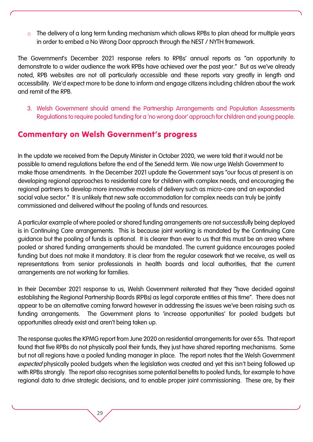The delivery of a long term funding mechanism which allows RPBs to plan ahead for multiple years in order to embed a No Wrong Door approach through the NEST / NYTH framework.

The Government's December 2021 response refers to RPBs' annual reports as "an opportunity to demonstrate to a wider audience the work RPBs have achieved over the past year." But as we've already noted, RPB websites are not all particularly accessible and these reports vary greatly in length and accessibility. We'd expect more to be done to inform and engage citizens including children about the work and remit of the RPB.

3. Welsh Government should amend the Partnership Arrangements and Population Assessments Regulations to require pooled funding for a 'no wrong door' approach for children and young people.

## Commentary on Welsh Government's progress

In the update we received from the Deputy Minister in October 2020, we were told that it would not be possible to amend regulations before the end of the Senedd term. We now urge Welsh Government to make those amendments. In the December 2021 update the Government says "our focus at present is on developing regional approaches to residential care for children with complex needs, and encouraging the regional partners to develop more innovative models of delivery such as micro-care and an expanded social value sector." It is unlikely that new safe accommodation for complex needs can truly be jointly commissioned and delivered without the pooling of funds and resources.

A particular example of where pooled or shared funding arrangements are not successfully being deployed is in Continuing Care arrangements. This is because joint working is mandated by the Continuing Care guidance but the pooling of funds is optional. It is clearer than ever to us that this must be an area where pooled or shared funding arrangements should be mandated. The current guidance encourages pooled funding but does not make it mandatory. It is clear from the regular casework that we receive, as well as representations from senior professionals in health boards and local authorities, that the current arrangements are not working for families.

In their December 2021 response to us, Welsh Government reiterated that they "have decided against establishing the Regional Partnership Boards (RPBs) as legal corporate entities at this time". There does not appear to be an alternative coming forward however in addressing the issues we've been raising such as funding arrangements. The Government plans to 'increase opportunities' for pooled budgets but opportunities already exist and aren't being taken up.

The response quotes the KPMG report from June 2020 on residential arrangements for over 65s. That report found that five RPBs do not physically pool their funds, they just have shared reporting mechanisms. Some but not all regions have a pooled funding manager in place. The report notes that the Welsh Government expected physically pooled budgets when the legislation was created and yet this isn't being followed up with RPBs strongly. The report also recognises some potential benefits to pooled funds, for example to have regional data to drive strategic decisions, and to enable proper joint commissioning. These are, by their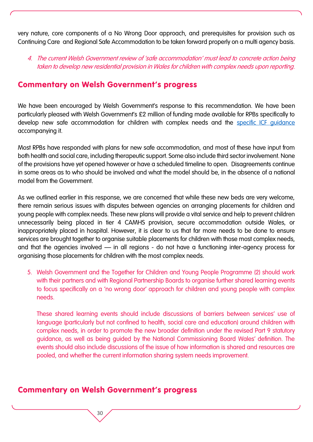very nature, core components of a No Wrong Door approach, and prerequisites for provision such as Continuing Care and Regional Safe Accommodation to be taken forward properly on a multi agency basis.

#### 4. The current Welsh Government review of 'safe accommodation' must lead to concrete action being taken to develop new residential provision in Wales for children with complex needs upon reporting.

### Commentary on Welsh Government's progress

We have been encouraged by Welsh Government's response to this recommendation. We have been particularly pleased with Welsh Government's £2 million of funding made available for RPBs specifically to develop new safe accommodation for children with complex needs and the [specific ICF guidance](https://gov.wales/sites/default/files/publications/2021-02/integrated-care-fund-revenue-capital-and-dementia-guidance-2021-2022.pdf) accompanying it.

Most RPBs have responded with plans for new safe accommodation, and most of these have input from both health and social care, including therapeutic support. Some also include third sector involvement. None of the provisions have yet opened however or have a scheduled timeline to open. Disagreements continue in some areas as to who should be involved and what the model should be, in the absence of a national model from the Government.

As we outlined earlier in this response, we are concerned that while these new beds are very welcome, there remain serious issues with disputes between agencies on arranging placements for children and young people with complex needs. These new plans will provide a vital service and help to prevent children unnecessarily being placed in tier 4 CAMHS provision, secure accommodation outside Wales, or inappropriately placed in hospital. However, it is clear to us that far more needs to be done to ensure services are brought together to organise suitable placements for children with those most complex needs, and that the agencies involved – in all regions - do not have a functioning inter-agency process for organising those placements for children with the most complex needs.

5. Welsh Government and the Together for Children and Young People Programme (2) should work with their partners and with Regional Partnership Boards to organise further shared learning events to focus specifically on a 'no wrong door' approach for children and young people with complex needs.

These shared learning events should include discussions of barriers between services' use of language (particularly but not confined to health, social care and education) around children with complex needs, in order to promote the new broader definition under the revised Part 9 statutory guidance, as well as being guided by the National Commissioning Board Wales' definition. The events should also include discussions of the issue of how information is shared and resources are pooled, and whether the current information sharing system needs improvement.

### Commentary on Welsh Government's progress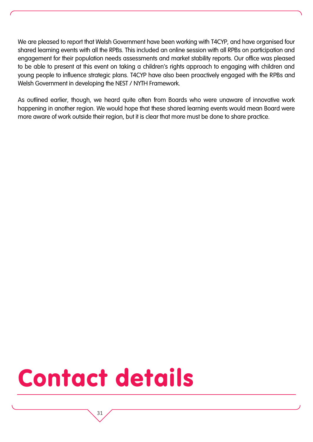We are pleased to report that Welsh Government have been working with T4CYP, and have organised four shared learning events with all the RPBs. This included an online session with all RPBs on participation and engagement for their population needs assessments and market stability reports. Our office was pleased to be able to present at this event on taking a children's rights approach to engaging with children and young people to influence strategic plans. T4CYP have also been proactively engaged with the RPBs and Welsh Government in developing the NEST / NYTH Framework.

As outlined earlier, though, we heard quite often from Boards who were unaware of innovative work happening in another region. We would hope that these shared learning events would mean Board were more aware of work outside their region, but it is clear that more must be done to share practice.

## Contact details